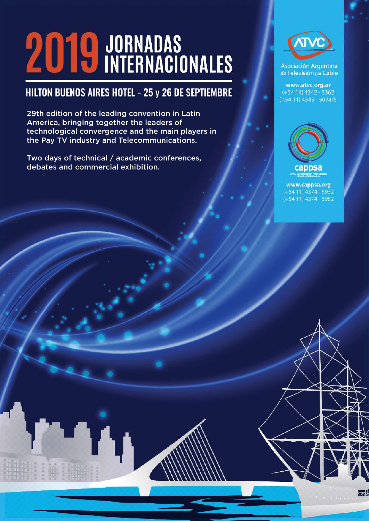# **2019 JORNADAS**<br> **2019 INTERNACIONALES**

## HILTON BUENOS AIRES HOTEL - 25 y 26 DE SEPTIEMBRE

29th edition of the leading convention in Latin America, bringing together the leaders of technological convergence and the main players in the Pay TV industry and Telecommunications.

Two days of technical / academic conferences, debates and commercial exhibition.



**Asociación Argentina** de Televisión por Cable

www.atvc.org.ar  $(+5411)$  4342 - 3362  $(+5411)$  4345 - 5074/5



www.cappsa.org  $(+5411)$  4374 - 6932  $(+5411)$  4374 - 6982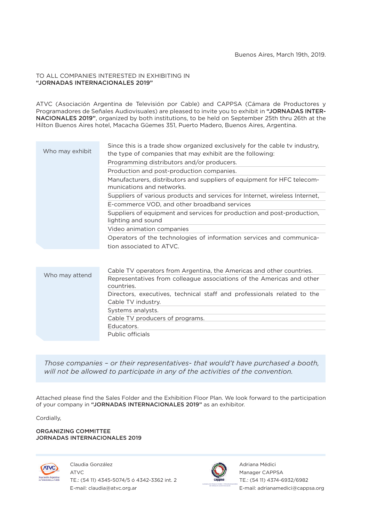#### TO ALL COMPANIES INTERESTED IN EXHIBITING IN "JORNADAS INTERNACIONALES 2019"

ATVC (Asociación Argentina de Televisión por Cable) and CAPPSA (Cámara de Productores y Programadores de Señales Audiovisuales) are pleased to invite you to exhibit in "JORNADAS INTER-NACIONALES 2019", organized by both institutions, to be held on September 25th thru 26th at the Hilton Buenos Aires hotel, Macacha Güemes 351, Puerto Madero, Buenos Aires, Argentina.

| Who may exhibit | Since this is a trade show organized exclusively for the cable tv industry,<br>the type of companies that may exhibit are the following: |
|-----------------|------------------------------------------------------------------------------------------------------------------------------------------|
|                 | Programming distributors and/or producers.                                                                                               |
|                 | Production and post-production companies.                                                                                                |
|                 | Manufacturers, distributors and suppliers of equipment for HFC telecom-<br>munications and networks.                                     |
|                 | Suppliers of various products and services for Internet, wireless Internet,                                                              |
|                 | E-commerce VOD, and other broadband services                                                                                             |
|                 | Suppliers of equipment and services for production and post-production,<br>lighting and sound                                            |
|                 | Video animation companies                                                                                                                |
|                 | Operators of the technologies of information services and communica-                                                                     |
|                 | tion associated to ATVC.                                                                                                                 |
|                 |                                                                                                                                          |
| Who may attend  | Cable TV operators from Argentina, the Americas and other countries.                                                                     |
|                 | Representatives from colleague associations of the Americas and other<br>countries.                                                      |
|                 | Directors, executives, technical staff and professionals related to the<br>Cable TV industry.                                            |

*Those companies – or their representatives- that would't have purchased a booth, will not be allowed to participate in any of the activities of the convention.*

Attached please find the Sales Folder and the Exhibition Floor Plan. We look forward to the participation of your company in "JORNADAS INTERNACIONALES 2019" as an exhibitor.

Cordially,

ORGANIZING COMMITTEE JORNADAS INTERNACIONALES 2019

Claudia González



ATVC TE.: (54 11) 4345-5074/5 ó 4342-3362 int. 2 E-mail: claudia@atvc.org.ar

Systems analysts.

Educators. Public officials

Cable TV producers of programs.

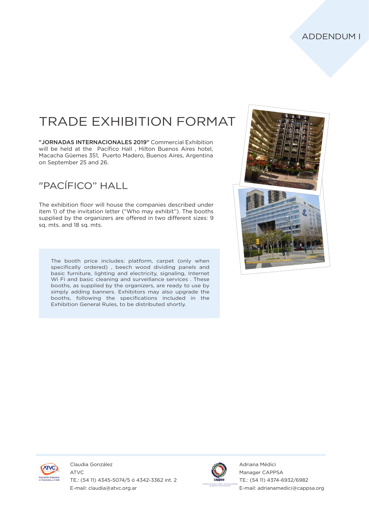# TRADE EXHIBITION FORMAT

"JORNADAS INTERNACIONALES 2019" Commercial Exhibition will be held at the Pacífico Hall , Hilton Buenos Aires hotel, Macacha Güemes 351, Puerto Madero, Buenos Aires, Argentina on September 25 and 26.

### "PACÍFICO" HALL

The exhibition floor will house the companies described under item 1) of the invitation letter ("Who may exhibit"). The booths supplied by the organizers are offered in two different sizes: 9 sq. mts. and 18 sq. mts.

The booth price includes: platform, carpet (only when specifically ordered) , beech wood dividing panels and basic furniture, lighting and electricity, signaling, Internet Wi Fi and basic cleaning and surveillance services . These booths, as supplied by the organizers, are ready to use by simply adding banners. Exhibitors may also upgrade the booths, following the specifications included in the Exhibition General Rules, to be distributed shortly.





Claudia González ATVC TE.: (54 11) 4345-5074/5 ó 4342-3362 int. 2 E-mail: claudia@atvc.org.ar

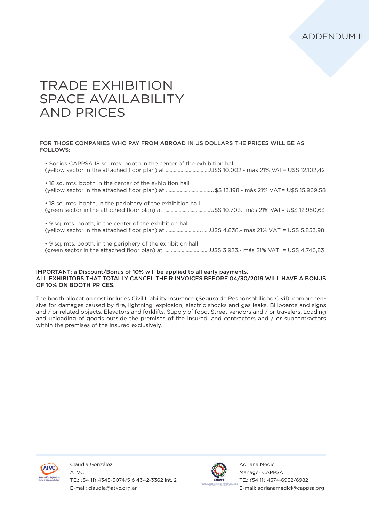## TRADE EXHIBITION SPACE AVAILABILITY AND PRICES

#### FOR THOSE COMPANIES WHO PAY FROM ABROAD IN US DOLLARS THE PRICES WILL BE AS FOLLOWS:

| • Socios CAPPSA 18 sq. mts. booth in the center of the exhibition hall |
|------------------------------------------------------------------------|
| • 18 sq. mts. booth in the center of the exhibition hall               |
| • 18 sq. mts. booth, in the periphery of the exhibition hall           |
| • 9 sq. mts. booth, in the center of the exhibition hall               |
| • 9 sq. mts. booth, in the periphery of the exhibition hall            |

#### IMPORTANT: a Discount/Bonus of 10% will be applied to all early payments. ALL EXHIBITORS THAT TOTALLY CANCEL THEIR INVOICES BEFORE 04/30/2019 WILL HAVE A BONUS OF 10% ON BOOTH PRICES.

The booth allocation cost includes Civil Liability Insurance (Seguro de Responsabilidad Civil) comprehensive for damages caused by fire, lightning, explosion, electric shocks and gas leaks. Billboards and signs and / or related objects. Elevators and forklifts. Supply of food. Street vendors and / or travelers. Loading and unloading of goods outside the premises of the insured, and contractors and / or subcontractors within the premises of the insured exclusively.



Claudia González ATVC TE.: (54 11) 4345-5074/5 ó 4342-3362 int. 2 E-mail: claudia@atvc.org.ar

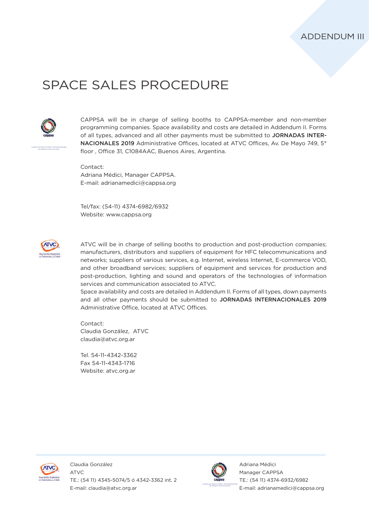## SPACE SALES PROCEDURE



CAMARA DE PRODUCTORES Y PROGRAMADORES DE SEÑALES AUDIOVISUALES

CAPPSA will be in charge of selling booths to CAPPSA-member and non-member programming companies. Space availability and costs are detailed in Addendum II. Forms of all types, advanced and all other payments must be submitted to JORNADAS INTER-NACIONALES 2019 Administrative Offices, located at ATVC Offices, Av. De Mayo 749, 5° floor , Office 31, C1084AAC, Buenos Aires, Argentina.

Contact: Adriana Médici, Manager CAPPSA. E-mail: adrianamedici@cappsa.org

Tel/fax: (54-11) 4374-6982/6932 Website: www.cappsa.org



ATVC will be in charge of selling booths to production and post-production companies; manufacturers, distributors and suppliers of equipment for HFC telecommunications and networks; suppliers of various services, e.g. Internet, wireless Internet, E-commerce VOD, and other broadband services; suppliers of equipment and services for production and post-production, lighting and sound and operators of the technologies of information services and communication associated to ATVC.

Space availability and costs are detailed in Addendum II. Forms of all types, down payments and all other payments should be submitted to JORNADAS INTERNACIONALES 2019 Administrative Office, located at ATVC Offices.

Contact: Claudia González, ATVC claudia@atvc.org.ar

Tel. 54-11-4342-3362 Fax 54-11-4343-1716 Website: atvc.org.ar



ATVC TE.: (54 11) 4345-5074/5 ó 4342-3362 int. 2 E-mail: claudia@atvc.org.ar

Claudia González

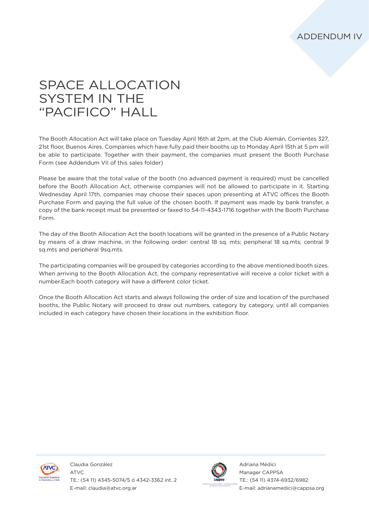## SPACE ALLOCATION SYSTEM IN THE "PACIFICO" HALL

The Booth Allocation Act will take place on Tuesday April 16th at 2pm, at the Club Alemán, Corrientes 327, 21st floor, Buenos Aires. Companies which have fully paid their booths up to Monday April 15th at 5 pm will be able to participate. Together with their payment, the companies must present the Booth Purchase Form (see Addendum VII of this sales folder)

Please be aware that the total value of the booth (no advanced payment is required) must be cancelled before the Booth Allocation Act, otherwise companies will not be allowed to participate in it. Starting Wednesday April 17th, companies may choose their spaces upon presenting at ATVC offices the Booth Purchase Form and paying the full value of the chosen booth. If payment was made by bank transfer, a copy of the bank receipt must be presented or faxed to 54-11-4343-1716 together with the Booth Purchase Form.

The day of the Booth Allocation Act the booth locations will be granted in the presence of a Public Notary by means of a draw machine, in the following order: central 18 sq. mts; peripheral 18 sq.mts; central 9 sq.mts and peripheral 9sq.mts.

The participating companies will be grouped by categories according to the above mentioned booth sizes. When arriving to the Booth Allocation Act, the company representative will receive a color ticket with a number.Each booth category will have a different color ticket.

Once the Booth Allocation Act starts and always following the order of size and location of the purchased booths, the Public Notary will proceed to draw out numbers, category by category, until all companies included in each category have chosen their locations in the exhibition floor.



Claudia González ATVC TE.: (54 11) 4345-5074/5 ó 4342-3362 int. 2 E-mail: claudia@atvc.org.ar

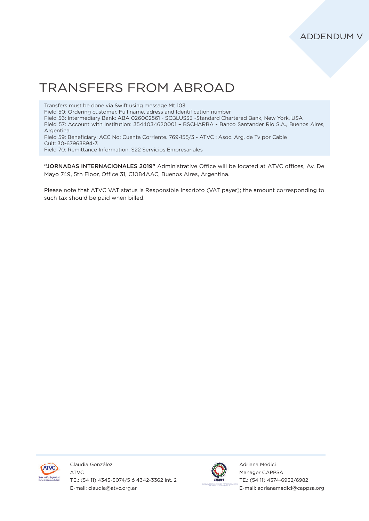## TRANSFERS FROM ABROAD

Transfers must be done via Swift using message Mt 103 Field 50: Ordering customer, Full name, adress and Identification number Field 56: Intermediary Bank: ABA 026002561 - SCBLUS33 -Standard Chartered Bank, New York, USA Field 57: Account with Institution: 3544034620001 – BSCHARBA - Banco Santander Rio S.A., Buenos Aires, Argentina Field 59: Beneficiary: ACC No: Cuenta Corriente. 769-155/3 - ATVC : Asoc. Arg. de Tv por Cable Cuit: 30-67963894-3 Field 70: Remittance Information: S22 Servicios Empresariales

"JORNADAS INTERNACIONALES 2019" Administrative Office will be located at ATVC offices, Av. De Mayo 749, 5th Floor, Office 31, C1084AAC, Buenos Aires, Argentina.

Please note that ATVC VAT status is Responsible Inscripto (VAT payer); the amount corresponding to such tax should be paid when billed.



Claudia González ATVC TE.: (54 11) 4345-5074/5 ó 4342-3362 int. 2 E-mail: claudia@atvc.org.ar

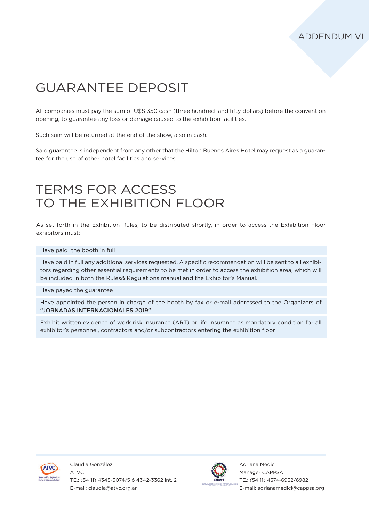## GUARANTEE DEPOSIT

All companies must pay the sum of U\$S 350 cash (three hundred and fifty dollars) before the convention opening, to guarantee any loss or damage caused to the exhibition facilities.

Such sum will be returned at the end of the show, also in cash.

Said guarantee is independent from any other that the Hilton Buenos Aires Hotel may request as a guarantee for the use of other hotel facilities and services.

## TERMS FOR ACCESS TO THE EXHIBITION FLOOR

As set forth in the Exhibition Rules, to be distributed shortly, in order to access the Exhibition Floor exhibitors must:

Have paid the booth in full

Have paid in full any additional services requested. A specific recommendation will be sent to all exhibitors regarding other essential requirements to be met in order to access the exhibition area, which will be included in both the Rules& Regulations manual and the Exhibitor's Manual.

Have payed the guarantee

Have appointed the person in charge of the booth by fax or e-mail addressed to the Organizers of "JORNADAS INTERNACIONALES 2019"

Exhibit written evidence of work risk insurance (ART) or life insurance as mandatory condition for all exhibitor's personnel, contractors and/or subcontractors entering the exhibition floor.



Claudia González ATVC TE.: (54 11) 4345-5074/5 ó 4342-3362 int. 2 E-mail: claudia@atvc.org.ar